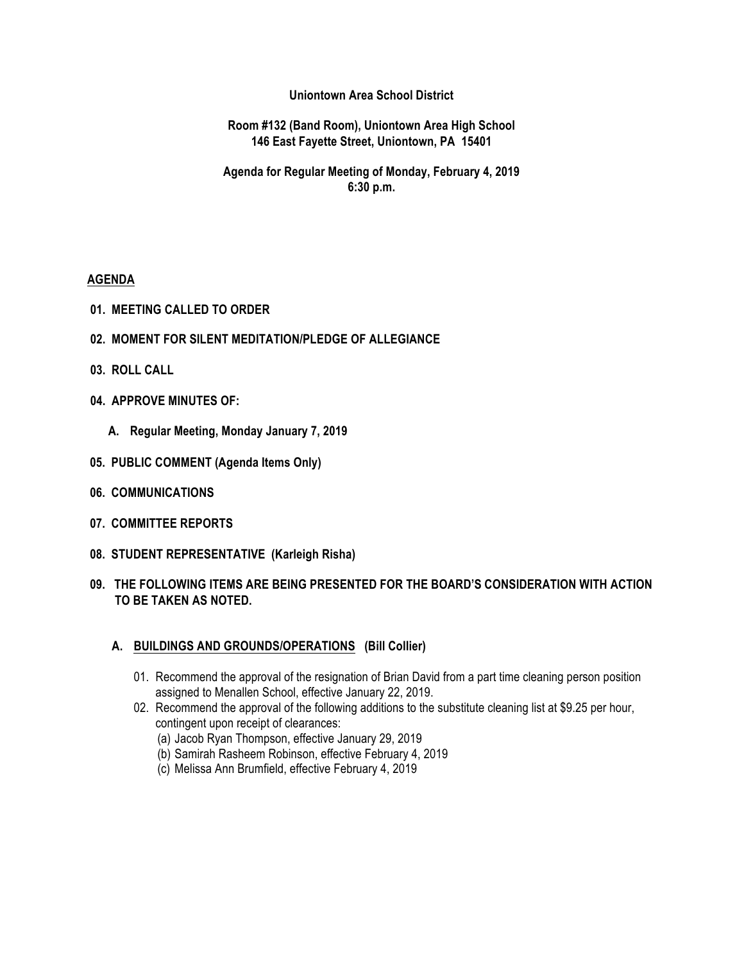**Uniontown Area School District**

**Room #132 (Band Room), Uniontown Area High School 146 East Fayette Street, Uniontown, PA 15401**

**Agenda for Regular Meeting of Monday, February 4, 2019 6:30 p.m.**

### **AGENDA**

- **01. MEETING CALLED TO ORDER**
- **02. MOMENT FOR SILENT MEDITATION/PLEDGE OF ALLEGIANCE**
- **03. ROLL CALL**
- **04. APPROVE MINUTES OF:**
	- **A. Regular Meeting, Monday January 7, 2019**
- **05. PUBLIC COMMENT (Agenda Items Only)**
- **06. COMMUNICATIONS**
- **07. COMMITTEE REPORTS**
- **08. STUDENT REPRESENTATIVE (Karleigh Risha)**
- **09. THE FOLLOWING ITEMS ARE BEING PRESENTED FOR THE BOARD'S CONSIDERATION WITH ACTION TO BE TAKEN AS NOTED.**

## **A. BUILDINGS AND GROUNDS/OPERATIONS (Bill Collier)**

- 01. Recommend the approval of the resignation of Brian David from a part time cleaning person position assigned to Menallen School, effective January 22, 2019.
- 02. Recommend the approval of the following additions to the substitute cleaning list at \$9.25 per hour, contingent upon receipt of clearances:
	- (a) Jacob Ryan Thompson, effective January 29, 2019
	- (b) Samirah Rasheem Robinson, effective February 4, 2019
	- (c) Melissa Ann Brumfield, effective February 4, 2019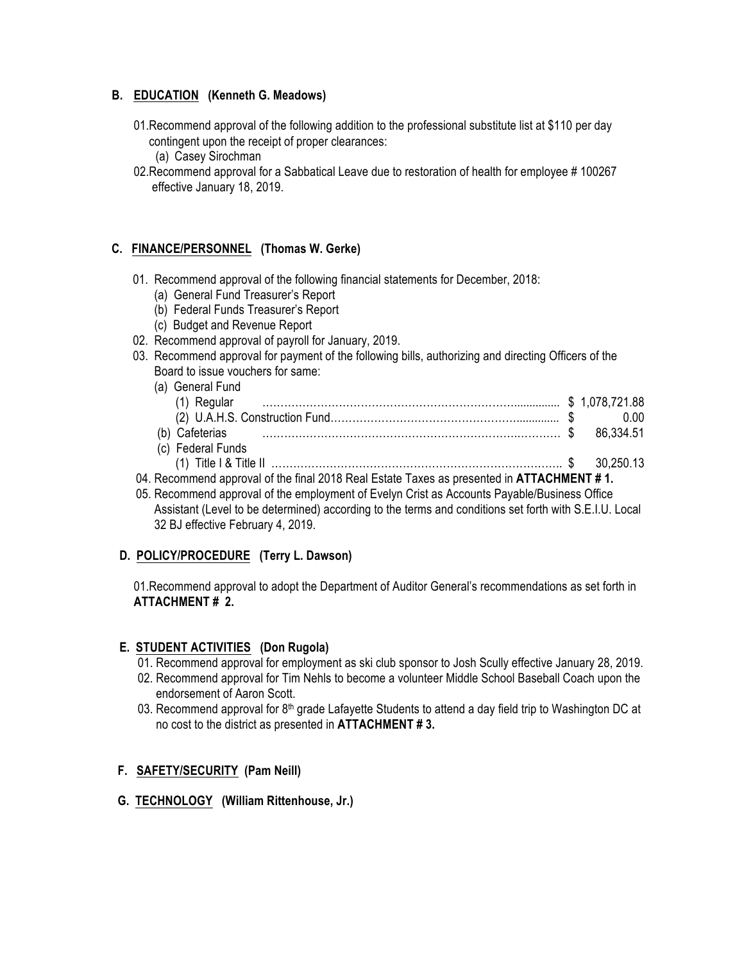## **B. EDUCATION (Kenneth G. Meadows)**

- 01.Recommend approval of the following addition to the professional substitute list at \$110 per day contingent upon the receipt of proper clearances:
	- (a) Casey Sirochman
- 02.Recommend approval for a Sabbatical Leave due to restoration of health for employee # 100267 effective January 18, 2019.

### **C. FINANCE/PERSONNEL (Thomas W. Gerke)**

- 01. Recommend approval of the following financial statements for December, 2018:
	- (a) General Fund Treasurer's Report
	- (b) Federal Funds Treasurer's Report
	- (c) Budget and Revenue Report
- 02. Recommend approval of payroll for January, 2019.
- 03. Recommend approval for payment of the following bills, authorizing and directing Officers of the Board to issue vouchers for same:
- (a) General Fund (1) Regular ……………………………………………………………............... \$ 1,078,721.88 (2) U.A.H.S. Construction Fund…………………………………………….............. \$ 0.00 (b) Cafeterias …………………………………………………………….………… \$ 86,334.51 (c) Federal Funds (1) Title I & Title II …………………………………………………………………….. \$ 30,250.13 04. Recommend approval of the final 2018 Real Estate Taxes as presented in **ATTACHMENT # 1.**
- 05. Recommend approval of the employment of Evelyn Crist as Accounts Payable/Business Office Assistant (Level to be determined) according to the terms and conditions set forth with S.E.I.U. Local 32 BJ effective February 4, 2019.

## **D. POLICY/PROCEDURE (Terry L. Dawson)**

01.Recommend approval to adopt the Department of Auditor General's recommendations as set forth in **ATTACHMENT # 2.**

#### **E. STUDENT ACTIVITIES (Don Rugola)**

- 01. Recommend approval for employment as ski club sponsor to Josh Scully effective January 28, 2019.
- 02. Recommend approval for Tim Nehls to become a volunteer Middle School Baseball Coach upon the endorsement of Aaron Scott.
- 03. Recommend approval for 8<sup>th</sup> grade Lafayette Students to attend a day field trip to Washington DC at no cost to the district as presented in **ATTACHMENT # 3.**

#### **F. SAFETY/SECURITY (Pam Neill)**

#### **G. TECHNOLOGY (William Rittenhouse, Jr.)**